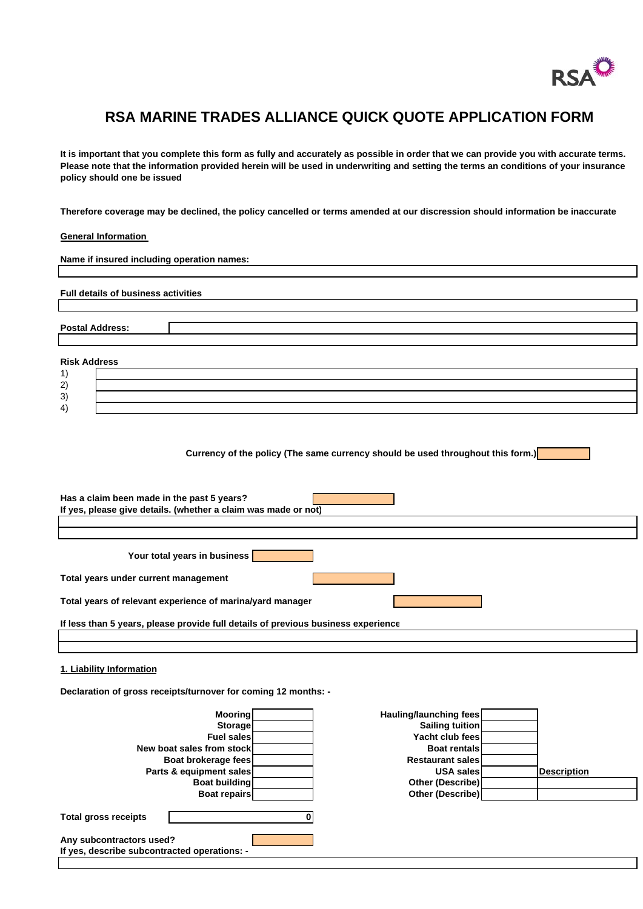

## **RSA MARINE TRADES ALLIANCE QUICK QUOTE APPLICATION FORM**

**It is important that you complete this form as fully and accurately as possible in order that we can provide you with accurate terms. Please note that the information provided herein will be used in underwriting and setting the terms an conditions of your insurance policy should one be issued**

**Therefore coverage may be declined, the policy cancelled or terms amended at our discression should information be inaccurate**

## **General Information**

| Name if insured including operation names:                                      |
|---------------------------------------------------------------------------------|
|                                                                                 |
| <b>Full details of business activities</b>                                      |
|                                                                                 |
|                                                                                 |
| <b>Postal Address:</b>                                                          |
|                                                                                 |
| <b>Risk Address</b>                                                             |
| 1)                                                                              |
| 2)                                                                              |
| 3)                                                                              |
| 4)                                                                              |
| Currency of the policy (The same currency should be used throughout this form.) |
| Has a claim been made in the past 5 years?                                      |
| If yes, please give details. (whether a claim was made or not)                  |
|                                                                                 |
|                                                                                 |
| Your total years in business                                                    |
| Total years under current management                                            |
| Total years of relevant experience of marina/yard manager                       |

**If less than 5 years, please provide full details of previous business experience**

## **1. Liability Information**

**Declaration of gross receipts/turnover for coming 12 months: -**

| <b>Mooring</b>                               | Hauling/launching fees  |                    |
|----------------------------------------------|-------------------------|--------------------|
| Storage                                      | Sailing tuition         |                    |
| <b>Fuel sales</b>                            | Yacht club fees         |                    |
| New boat sales from stock                    | <b>Boat rentals</b>     |                    |
| Boat brokerage fees                          | <b>Restaurant sales</b> |                    |
| Parts & equipment sales                      | <b>USA sales</b>        | <b>Description</b> |
| <b>Boat building</b>                         | <b>Other (Describe)</b> |                    |
| <b>Boat repairs</b>                          | Other (Describe)        |                    |
| <b>Total gross receipts</b>                  |                         |                    |
| Any subcontractors used?                     |                         |                    |
| If yes, describe subcontracted operations: - |                         |                    |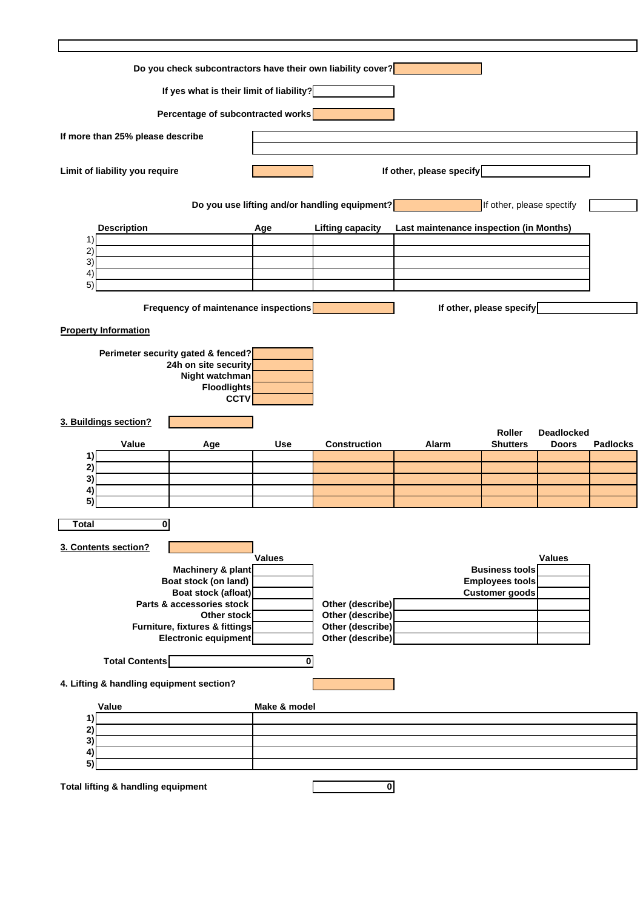| Do you check subcontractors have their own liability cover? |                                    |                                                                                                                   |                         |                                               |                                         |                                                 |                   |                 |
|-------------------------------------------------------------|------------------------------------|-------------------------------------------------------------------------------------------------------------------|-------------------------|-----------------------------------------------|-----------------------------------------|-------------------------------------------------|-------------------|-----------------|
| If yes what is their limit of liability?                    |                                    |                                                                                                                   |                         |                                               |                                         |                                                 |                   |                 |
| Percentage of subcontracted works                           |                                    |                                                                                                                   |                         |                                               |                                         |                                                 |                   |                 |
|                                                             | If more than 25% please describe   |                                                                                                                   |                         |                                               |                                         |                                                 |                   |                 |
| Limit of liability you require                              |                                    |                                                                                                                   |                         | If other, please specify                      |                                         |                                                 |                   |                 |
|                                                             |                                    |                                                                                                                   |                         | Do you use lifting and/or handling equipment? |                                         | If other, please spectify                       |                   |                 |
|                                                             | <b>Description</b>                 |                                                                                                                   | Age                     | <b>Lifting capacity</b>                       | Last maintenance inspection (in Months) |                                                 |                   |                 |
| 1)<br>2)                                                    |                                    |                                                                                                                   |                         |                                               |                                         |                                                 |                   |                 |
| 3)<br>$ 4\rangle$                                           |                                    |                                                                                                                   |                         |                                               |                                         |                                                 |                   |                 |
| 5)                                                          |                                    |                                                                                                                   |                         |                                               |                                         |                                                 |                   |                 |
|                                                             |                                    | Frequency of maintenance inspections                                                                              |                         |                                               |                                         | If other, please specify                        |                   |                 |
|                                                             | <b>Property Information</b>        |                                                                                                                   |                         |                                               |                                         |                                                 |                   |                 |
|                                                             |                                    | Perimeter security gated & fenced?<br>24h on site security<br>Night watchman<br><b>Floodlights</b><br><b>CCTV</b> |                         |                                               |                                         |                                                 |                   |                 |
|                                                             | 3. Buildings section?              |                                                                                                                   |                         |                                               |                                         | <b>Roller</b>                                   | <b>Deadlocked</b> |                 |
|                                                             | Value                              | Age                                                                                                               | <b>Use</b>              | <b>Construction</b>                           | Alarm                                   | <b>Shutters</b>                                 | <b>Doors</b>      | <b>Padlocks</b> |
| 1)<br>2)                                                    |                                    |                                                                                                                   |                         |                                               |                                         |                                                 |                   |                 |
| 3)<br>4)                                                    |                                    |                                                                                                                   |                         |                                               |                                         |                                                 |                   |                 |
| 5)                                                          |                                    |                                                                                                                   |                         |                                               |                                         |                                                 |                   |                 |
| Total                                                       | 0                                  |                                                                                                                   |                         |                                               |                                         |                                                 |                   |                 |
|                                                             | 3. Contents section?               |                                                                                                                   | Values                  |                                               |                                         |                                                 | <b>Values</b>     |                 |
|                                                             |                                    | Machinery & plant                                                                                                 |                         |                                               |                                         | <b>Business tools</b><br><b>Employees tools</b> |                   |                 |
|                                                             |                                    | Boat stock (on land)<br>Boat stock (afloat)                                                                       |                         |                                               |                                         | <b>Customer</b> goods                           |                   |                 |
|                                                             |                                    | Parts & accessories stock<br>Other stock                                                                          |                         | Other (describe)<br>Other (describe)          |                                         |                                                 |                   |                 |
|                                                             |                                    | Furniture, fixtures & fittings<br><b>Electronic equipment</b>                                                     |                         | Other (describe)<br>Other (describe)          |                                         |                                                 |                   |                 |
|                                                             | <b>Total Contents</b>              |                                                                                                                   | $\overline{\mathbf{0}}$ |                                               |                                         |                                                 |                   |                 |
| 4. Lifting & handling equipment section?                    |                                    |                                                                                                                   |                         |                                               |                                         |                                                 |                   |                 |
|                                                             | Value                              |                                                                                                                   | Make & model            |                                               |                                         |                                                 |                   |                 |
| 1)<br>2)                                                    |                                    |                                                                                                                   |                         |                                               |                                         |                                                 |                   |                 |
| 3)<br>4)                                                    |                                    |                                                                                                                   |                         |                                               |                                         |                                                 |                   |                 |
| 5)                                                          |                                    |                                                                                                                   |                         |                                               |                                         |                                                 |                   |                 |
|                                                             | Total lifting & handling equipment |                                                                                                                   |                         | $\mathbf{0}$                                  |                                         |                                                 |                   |                 |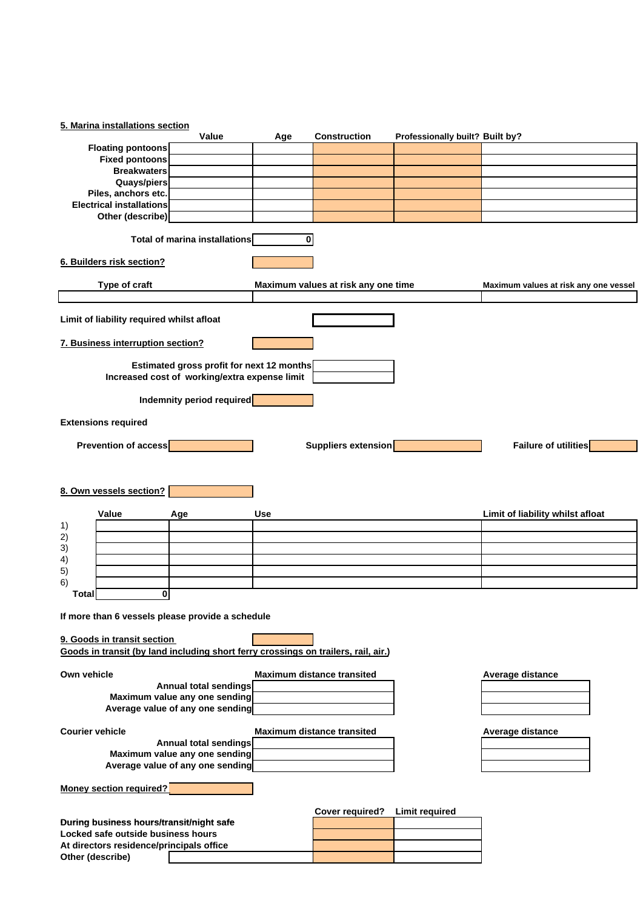|                        | 5. Marina installations section                        |                                                                                            |     |                                     |                                 |                                       |  |
|------------------------|--------------------------------------------------------|--------------------------------------------------------------------------------------------|-----|-------------------------------------|---------------------------------|---------------------------------------|--|
|                        | <b>Floating pontoons</b>                               | Value                                                                                      | Age | <b>Construction</b>                 | Professionally built? Built by? |                                       |  |
|                        | <b>Fixed pontoons</b>                                  |                                                                                            |     |                                     |                                 |                                       |  |
|                        | <b>Breakwaters</b>                                     |                                                                                            |     |                                     |                                 |                                       |  |
|                        | Quays/piers                                            |                                                                                            |     |                                     |                                 |                                       |  |
|                        | Piles, anchors etc.<br><b>Electrical installations</b> |                                                                                            |     |                                     |                                 |                                       |  |
|                        | Other (describe)                                       |                                                                                            |     |                                     |                                 |                                       |  |
|                        |                                                        |                                                                                            |     |                                     |                                 |                                       |  |
|                        |                                                        | <b>Total of marina installations</b>                                                       | 0   |                                     |                                 |                                       |  |
|                        | 6. Builders risk section?                              |                                                                                            |     |                                     |                                 |                                       |  |
|                        | Type of craft                                          |                                                                                            |     | Maximum values at risk any one time |                                 | Maximum values at risk any one vessel |  |
|                        |                                                        |                                                                                            |     |                                     |                                 |                                       |  |
|                        | Limit of liability required whilst afloat              |                                                                                            |     |                                     |                                 |                                       |  |
|                        | 7. Business interruption section?                      |                                                                                            |     |                                     |                                 |                                       |  |
|                        |                                                        | Estimated gross profit for next 12 months<br>Increased cost of working/extra expense limit |     |                                     |                                 |                                       |  |
|                        |                                                        | Indemnity period required                                                                  |     |                                     |                                 |                                       |  |
|                        | <b>Extensions required</b>                             |                                                                                            |     |                                     |                                 |                                       |  |
|                        | Prevention of access                                   |                                                                                            |     | Suppliers extension                 |                                 | <b>Failure of utilities</b>           |  |
|                        |                                                        |                                                                                            |     |                                     |                                 |                                       |  |
|                        |                                                        |                                                                                            |     |                                     |                                 |                                       |  |
|                        | 8. Own vessels section?                                |                                                                                            |     |                                     |                                 |                                       |  |
|                        |                                                        |                                                                                            |     |                                     |                                 |                                       |  |
| 1)                     | Value                                                  | Age                                                                                        | Use |                                     |                                 | Limit of liability whilst afloat      |  |
| 2)                     |                                                        |                                                                                            |     |                                     |                                 |                                       |  |
| 3)                     |                                                        |                                                                                            |     |                                     |                                 |                                       |  |
| 4)                     |                                                        |                                                                                            |     |                                     |                                 |                                       |  |
| 5)<br>6)               |                                                        |                                                                                            |     |                                     |                                 |                                       |  |
| Total                  | 0                                                      |                                                                                            |     |                                     |                                 |                                       |  |
|                        |                                                        |                                                                                            |     |                                     |                                 |                                       |  |
|                        |                                                        | If more than 6 vessels please provide a schedule                                           |     |                                     |                                 |                                       |  |
|                        | 9. Goods in transit section                            |                                                                                            |     |                                     |                                 |                                       |  |
|                        |                                                        | Goods in transit (by land including short ferry crossings on trailers, rail, air.)         |     |                                     |                                 |                                       |  |
|                        |                                                        |                                                                                            |     |                                     |                                 |                                       |  |
| Own vehicle            |                                                        | <b>Annual total sendings</b>                                                               |     | <b>Maximum distance transited</b>   |                                 | Average distance                      |  |
|                        |                                                        | Maximum value any one sending                                                              |     |                                     |                                 |                                       |  |
|                        |                                                        | Average value of any one sending                                                           |     |                                     |                                 |                                       |  |
|                        |                                                        |                                                                                            |     |                                     |                                 |                                       |  |
| <b>Courier vehicle</b> |                                                        |                                                                                            |     | <b>Maximum distance transited</b>   |                                 | Average distance                      |  |
|                        |                                                        | Annual total sendings<br>Maximum value any one sending                                     |     |                                     |                                 |                                       |  |
|                        |                                                        | Average value of any one sending                                                           |     |                                     |                                 |                                       |  |
|                        | <b>Money section required?</b>                         |                                                                                            |     |                                     |                                 |                                       |  |
|                        |                                                        |                                                                                            |     |                                     |                                 |                                       |  |
|                        | During business hours/transit/night safe               |                                                                                            |     | <b>Cover required?</b>              | <b>Limit required</b>           |                                       |  |
|                        | Locked safe outside business hours                     |                                                                                            |     |                                     |                                 |                                       |  |
|                        | At directors residence/principals office               |                                                                                            |     |                                     |                                 |                                       |  |
| Other (describe)       |                                                        |                                                                                            |     |                                     |                                 |                                       |  |